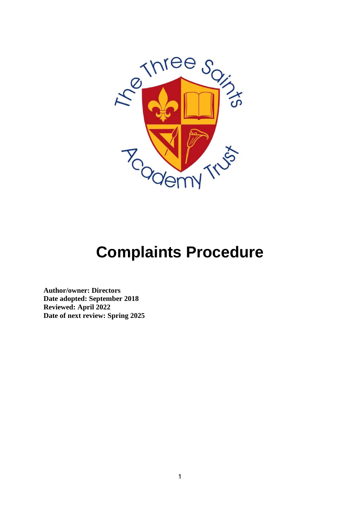

# **Complaints Procedure**

**Author/owner: Directors Date adopted: September 2018 Reviewed: April 2022 Date of next review: Spring 2025**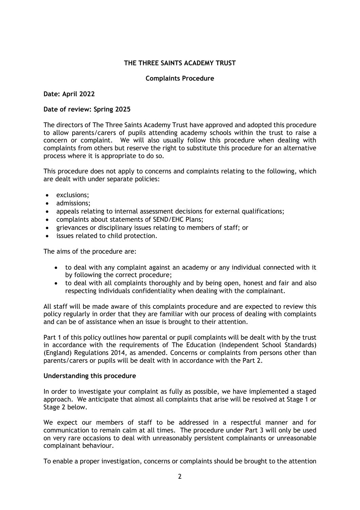## **THE THREE SAINTS ACADEMY TRUST**

#### **Complaints Procedure**

#### **Date: April 2022**

#### **Date of review: Spring 2025**

The directors of The Three Saints Academy Trust have approved and adopted this procedure to allow parents/carers of pupils attending academy schools within the trust to raise a concern or complaint. We will also usually follow this procedure when dealing with complaints from others but reserve the right to substitute this procedure for an alternative process where it is appropriate to do so.

This procedure does not apply to concerns and complaints relating to the following, which are dealt with under separate policies:

- exclusions;
- admissions;
- appeals relating to internal assessment decisions for external qualifications;
- complaints about statements of SEND/EHC Plans;
- grievances or disciplinary issues relating to members of staff; or
- issues related to child protection.

The aims of the procedure are:

- to deal with any complaint against an academy or any individual connected with it by following the correct procedure;
- to deal with all complaints thoroughly and by being open, honest and fair and also respecting individuals confidentiality when dealing with the complainant.

All staff will be made aware of this complaints procedure and are expected to review this policy regularly in order that they are familiar with our process of dealing with complaints and can be of assistance when an issue is brought to their attention.

Part 1 of this policy outlines how parental or pupil complaints will be dealt with by the trust in accordance with the requirements of The Education (Independent School Standards) (England) Regulations 2014, as amended. Concerns or complaints from persons other than parents/carers or pupils will be dealt with in accordance with the Part 2.

#### **Understanding this procedure**

In order to investigate your complaint as fully as possible, we have implemented a staged approach. We anticipate that almost all complaints that arise will be resolved at Stage 1 or Stage 2 below.

We expect our members of staff to be addressed in a respectful manner and for communication to remain calm at all times. The procedure under Part 3 will only be used on very rare occasions to deal with unreasonably persistent complainants or unreasonable complainant behaviour.

To enable a proper investigation, concerns or complaints should be brought to the attention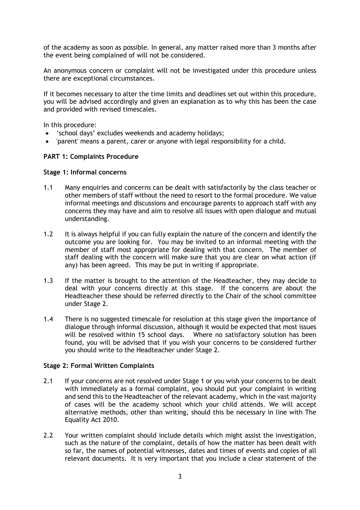of the academy as soon as possible. In general, any matter raised more than 3 months after the event being complained of will not be considered.

An anonymous concern or complaint will not be investigated under this procedure unless there are exceptional circumstances.

If it becomes necessary to alter the time limits and deadlines set out within this procedure, you will be advised accordingly and given an explanation as to why this has been the case and provided with revised timescales.

In this procedure:

- 'school days' excludes weekends and academy holidays;
- 'parent' means a parent, carer or anyone with legal responsibility for a child.

#### **PART 1: Complaints Procedure**

#### **Stage 1: Informal concerns**

- 1.1 Many enquiries and concerns can be dealt with satisfactorily by the class teacher or other members of staff without the need to resort to the formal procedure. We value informal meetings and discussions and encourage parents to approach staff with any concerns they may have and aim to resolve all issues with open dialogue and mutual understanding.
- 1.2 It is always helpful if you can fully explain the nature of the concern and identify the outcome you are looking for. You may be invited to an informal meeting with the member of staff most appropriate for dealing with that concern. The member of staff dealing with the concern will make sure that you are clear on what action (if any) has been agreed. This may be put in writing if appropriate.
- 1.3 If the matter is brought to the attention of the Headteacher, they may decide to deal with your concerns directly at this stage. If the concerns are about the Headteacher these should be referred directly to the Chair of the school committee under Stage 2.
- 1.4 There is no suggested timescale for resolution at this stage given the importance of dialogue through informal discussion, although it would be expected that most issues will be resolved within 15 school days. Where no satisfactory solution has been found, you will be advised that if you wish your concerns to be considered further you should write to the Headteacher under Stage 2.

# **Stage 2: Formal Written Complaints**

- 2.1 If your concerns are not resolved under Stage 1 or you wish your concerns to be dealt with immediately as a formal complaint, you should put your complaint in writing and send this to the Headteacher of the relevant academy, which in the vast majority of cases will be the academy school which your child attends. We will accept alternative methods, other than writing, should this be necessary in line with The Equality Act 2010.
- 2.2 Your written complaint should include details which might assist the investigation, such as the nature of the complaint, details of how the matter has been dealt with so far, the names of potential witnesses, dates and times of events and copies of all relevant documents. It is very important that you include a clear statement of the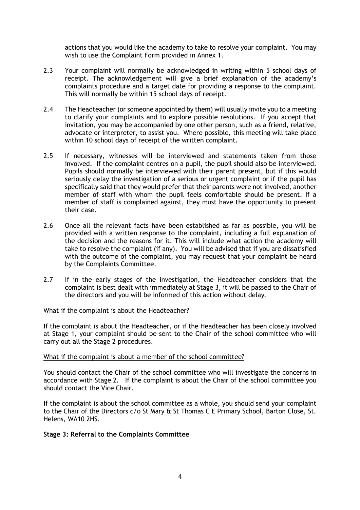actions that you would like the academy to take to resolve your complaint. You may wish to use the Complaint Form provided in Annex 1.

- 2.3 Your complaint will normally be acknowledged in writing within 5 school days of receipt. The acknowledgement will give a brief explanation of the academy's complaints procedure and a target date for providing a response to the complaint. This will normally be within 15 school days of receipt.
- 2.4 The Headteacher (or someone appointed by them) will usually invite you to a meeting to clarify your complaints and to explore possible resolutions. If you accept that invitation, you may be accompanied by one other person, such as a friend, relative, advocate or interpreter, to assist you. Where possible, this meeting will take place within 10 school days of receipt of the written complaint.
- 2.5 If necessary, witnesses will be interviewed and statements taken from those involved. If the complaint centres on a pupil, the pupil should also be interviewed. Pupils should normally be interviewed with their parent present, but if this would seriously delay the investigation of a serious or urgent complaint or if the pupil has specifically said that they would prefer that their parents were not involved, another member of staff with whom the pupil feels comfortable should be present. If a member of staff is complained against, they must have the opportunity to present their case.
- 2.6 Once all the relevant facts have been established as far as possible, you will be provided with a written response to the complaint, including a full explanation of the decision and the reasons for it. This will include what action the academy will take to resolve the complaint (if any). You will be advised that if you are dissatisfied with the outcome of the complaint, you may request that your complaint be heard by the Complaints Committee.
- 2.7 If in the early stages of the investigation, the Headteacher considers that the complaint is best dealt with immediately at Stage 3, it will be passed to the Chair of the directors and you will be informed of this action without delay.

# What if the complaint is about the Headteacher?

If the complaint is about the Headteacher, or if the Headteacher has been closely involved at Stage 1, your complaint should be sent to the Chair of the school committee who will carry out all the Stage 2 procedures.

#### What if the complaint is about a member of the school committee?

You should contact the Chair of the school committee who will investigate the concerns in accordance with Stage 2. If the complaint is about the Chair of the school committee you should contact the Vice Chair.

If the complaint is about the school committee as a whole, you should send your complaint to the Chair of the Directors c/o St Mary & St Thomas C E Primary School, Barton Close, St. Helens, WA10 2HS.

# **Stage 3: Referral to the Complaints Committee**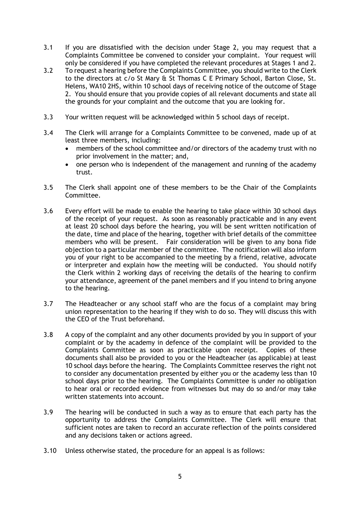- 3.1 If you are dissatisfied with the decision under Stage 2, you may request that a Complaints Committee be convened to consider your complaint. Your request will only be considered if you have completed the relevant procedures at Stages 1 and 2.
- 3.2 To request a hearing before the Complaints Committee, you should write to the Clerk to the directors at c/o St Mary & St Thomas C E Primary School, Barton Close, St. Helens, WA10 2HS, within 10 school days of receiving notice of the outcome of Stage 2. You should ensure that you provide copies of all relevant documents and state all the grounds for your complaint and the outcome that you are looking for.
- 3.3 Your written request will be acknowledged within 5 school days of receipt.
- 3.4 The Clerk will arrange for a Complaints Committee to be convened, made up of at least three members, including:
	- members of the school committee and/or directors of the academy trust with no prior involvement in the matter; and,
	- one person who is independent of the management and running of the academy trust.
- 3.5 The Clerk shall appoint one of these members to be the Chair of the Complaints Committee.
- 3.6 Every effort will be made to enable the hearing to take place within 30 school days of the receipt of your request. As soon as reasonably practicable and in any event at least 20 school days before the hearing, you will be sent written notification of the date, time and place of the hearing, together with brief details of the committee members who will be present. Fair consideration will be given to any bona fide objection to a particular member of the committee. The notification will also inform you of your right to be accompanied to the meeting by a friend, relative, advocate or interpreter and explain how the meeting will be conducted. You should notify the Clerk within 2 working days of receiving the details of the hearing to confirm your attendance, agreement of the panel members and if you intend to bring anyone to the hearing.
- 3.7 The Headteacher or any school staff who are the focus of a complaint may bring union representation to the hearing if they wish to do so. They will discuss this with the CEO of the Trust beforehand.
- 3.8 A copy of the complaint and any other documents provided by you in support of your complaint or by the academy in defence of the complaint will be provided to the Complaints Committee as soon as practicable upon receipt. Copies of these documents shall also be provided to you or the Headteacher (as applicable) at least 10 school days before the hearing. The Complaints Committee reserves the right not to consider any documentation presented by either you or the academy less than 10 school days prior to the hearing. The Complaints Committee is under no obligation to hear oral or recorded evidence from witnesses but may do so and/or may take written statements into account.
- 3.9 The hearing will be conducted in such a way as to ensure that each party has the opportunity to address the Complaints Committee. The Clerk will ensure that sufficient notes are taken to record an accurate reflection of the points considered and any decisions taken or actions agreed.
- 3.10 Unless otherwise stated, the procedure for an appeal is as follows: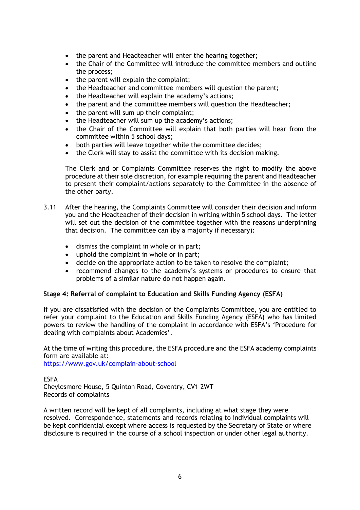- the parent and Headteacher will enter the hearing together;
- the Chair of the Committee will introduce the committee members and outline the process;
- the parent will explain the complaint;
- the Headteacher and committee members will question the parent;
- the Headteacher will explain the academy's actions;
- the parent and the committee members will question the Headteacher;
- the parent will sum up their complaint;
- the Headteacher will sum up the academy's actions;
- the Chair of the Committee will explain that both parties will hear from the committee within 5 school days;
- both parties will leave together while the committee decides;
- the Clerk will stay to assist the committee with its decision making.

The Clerk and or Complaints Committee reserves the right to modify the above procedure at their sole discretion, for example requiring the parent and Headteacher to present their complaint/actions separately to the Committee in the absence of the other party.

- 3.11 After the hearing, the Complaints Committee will consider their decision and inform you and the Headteacher of their decision in writing within 5 school days. The letter will set out the decision of the committee together with the reasons underpinning that decision. The committee can (by a majority if necessary):
	- dismiss the complaint in whole or in part;
	- uphold the complaint in whole or in part;
	- decide on the appropriate action to be taken to resolve the complaint;
	- recommend changes to the academy's systems or procedures to ensure that problems of a similar nature do not happen again.

# **Stage 4: Referral of complaint to Education and Skills Funding Agency (ESFA)**

If you are dissatisfied with the decision of the Complaints Committee, you are entitled to refer your complaint to the Education and Skills Funding Agency (ESFA) who has limited powers to review the handling of the complaint in accordance with ESFA's 'Procedure for dealing with complaints about Academies'.

At the time of writing this procedure, the ESFA procedure and the ESFA academy complaints form are available at:

<https://www.gov.uk/complain-about-school>

ESFA Cheylesmore House, 5 Quinton Road, Coventry, CV1 2WT Records of complaints

A written record will be kept of all complaints, including at what stage they were resolved. Correspondence, statements and records relating to individual complaints will be kept confidential except where access is requested by the Secretary of State or where disclosure is required in the course of a school inspection or under other legal authority.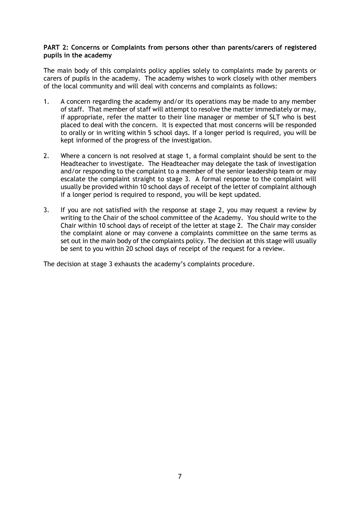## **PART 2: Concerns or Complaints from persons other than parents/carers of registered pupils in the academy**

The main body of this complaints policy applies solely to complaints made by parents or carers of pupils in the academy. The academy wishes to work closely with other members of the local community and will deal with concerns and complaints as follows:

- 1. A concern regarding the academy and/or its operations may be made to any member of staff. That member of staff will attempt to resolve the matter immediately or may, if appropriate, refer the matter to their line manager or member of SLT who is best placed to deal with the concern. It is expected that most concerns will be responded to orally or in writing within 5 school days. If a longer period is required, you will be kept informed of the progress of the investigation.
- 2. Where a concern is not resolved at stage 1, a formal complaint should be sent to the Headteacher to investigate. The Headteacher may delegate the task of investigation and/or responding to the complaint to a member of the senior leadership team or may escalate the complaint straight to stage 3. A formal response to the complaint will usually be provided within 10 school days of receipt of the letter of complaint although if a longer period is required to respond, you will be kept updated.
- 3. If you are not satisfied with the response at stage 2, you may request a review by writing to the Chair of the school committee of the Academy. You should write to the Chair within 10 school days of receipt of the letter at stage 2. The Chair may consider the complaint alone or may convene a complaints committee on the same terms as set out in the main body of the complaints policy. The decision at this stage will usually be sent to you within 20 school days of receipt of the request for a review.

The decision at stage 3 exhausts the academy's complaints procedure.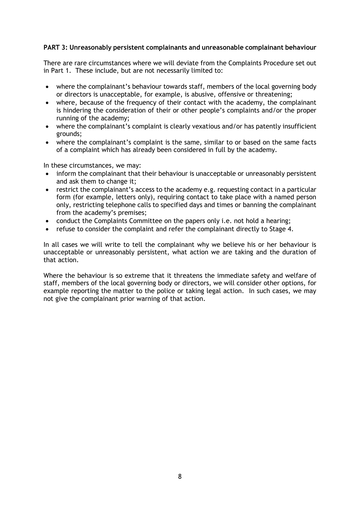# **PART 3: Unreasonably persistent complainants and unreasonable complainant behaviour**

There are rare circumstances where we will deviate from the Complaints Procedure set out in Part 1. These include, but are not necessarily limited to:

- where the complainant's behaviour towards staff, members of the local governing body or directors is unacceptable, for example, is abusive, offensive or threatening;
- where, because of the frequency of their contact with the academy, the complainant is hindering the consideration of their or other people's complaints and/or the proper running of the academy;
- where the complainant's complaint is clearly vexatious and/or has patently insufficient grounds;
- where the complainant's complaint is the same, similar to or based on the same facts of a complaint which has already been considered in full by the academy.

In these circumstances, we may:

- inform the complainant that their behaviour is unacceptable or unreasonably persistent and ask them to change it;
- restrict the complainant's access to the academy e.g. requesting contact in a particular form (for example, letters only), requiring contact to take place with a named person only, restricting telephone calls to specified days and times or banning the complainant from the academy's premises;
- conduct the Complaints Committee on the papers only i.e. not hold a hearing;
- refuse to consider the complaint and refer the complainant directly to Stage 4.

In all cases we will write to tell the complainant why we believe his or her behaviour is unacceptable or unreasonably persistent, what action we are taking and the duration of that action.

Where the behaviour is so extreme that it threatens the immediate safety and welfare of staff, members of the local governing body or directors, we will consider other options, for example reporting the matter to the police or taking legal action. In such cases, we may not give the complainant prior warning of that action.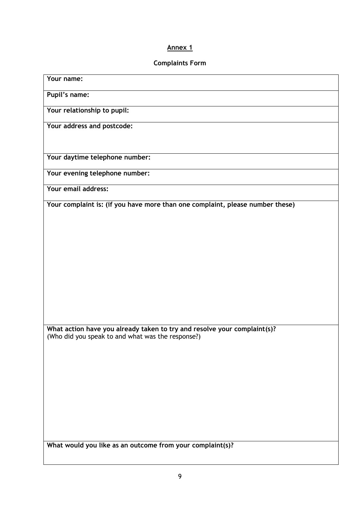# **Annex 1**

# **Complaints Form**

| Your name:                                                                                                                    |
|-------------------------------------------------------------------------------------------------------------------------------|
| Pupil's name:                                                                                                                 |
| Your relationship to pupil:                                                                                                   |
| Your address and postcode:                                                                                                    |
|                                                                                                                               |
| Your daytime telephone number:                                                                                                |
| Your evening telephone number:                                                                                                |
| Your email address:                                                                                                           |
| Your complaint is: (if you have more than one complaint, please number these)                                                 |
|                                                                                                                               |
|                                                                                                                               |
|                                                                                                                               |
|                                                                                                                               |
|                                                                                                                               |
|                                                                                                                               |
|                                                                                                                               |
| What action have you already taken to try and resolve your complaint(s)?<br>(Who did you speak to and what was the response?) |
|                                                                                                                               |
|                                                                                                                               |
|                                                                                                                               |
|                                                                                                                               |
|                                                                                                                               |
|                                                                                                                               |
| What would you like as an outcome from your complaint(s)?                                                                     |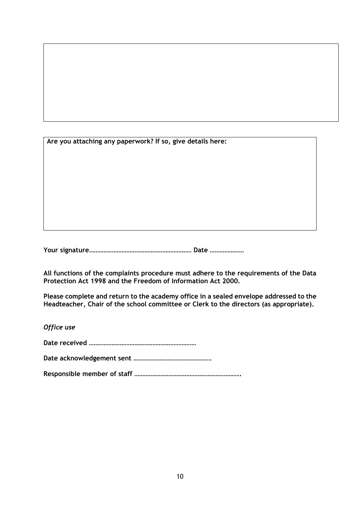| Are you attaching any paperwork? If so, give details here: |  |  |  |  |  |
|------------------------------------------------------------|--|--|--|--|--|
|                                                            |  |  |  |  |  |
|                                                            |  |  |  |  |  |
|                                                            |  |  |  |  |  |
|                                                            |  |  |  |  |  |
|                                                            |  |  |  |  |  |

**Your signature……………………………………………………… Date …………………**

**All functions of the complaints procedure must adhere to the requirements of the Data Protection Act 1998 and the Freedom of Information Act 2000.**

**Please complete and return to the academy office in a sealed envelope addressed to the Headteacher, Chair of the school committee or Clerk to the directors (as appropriate).**

*Office use*

**Date received …………………………………………………………**

**Date acknowledgement sent …………………………………………**

**Responsible member of staff ………………………………………………………..**